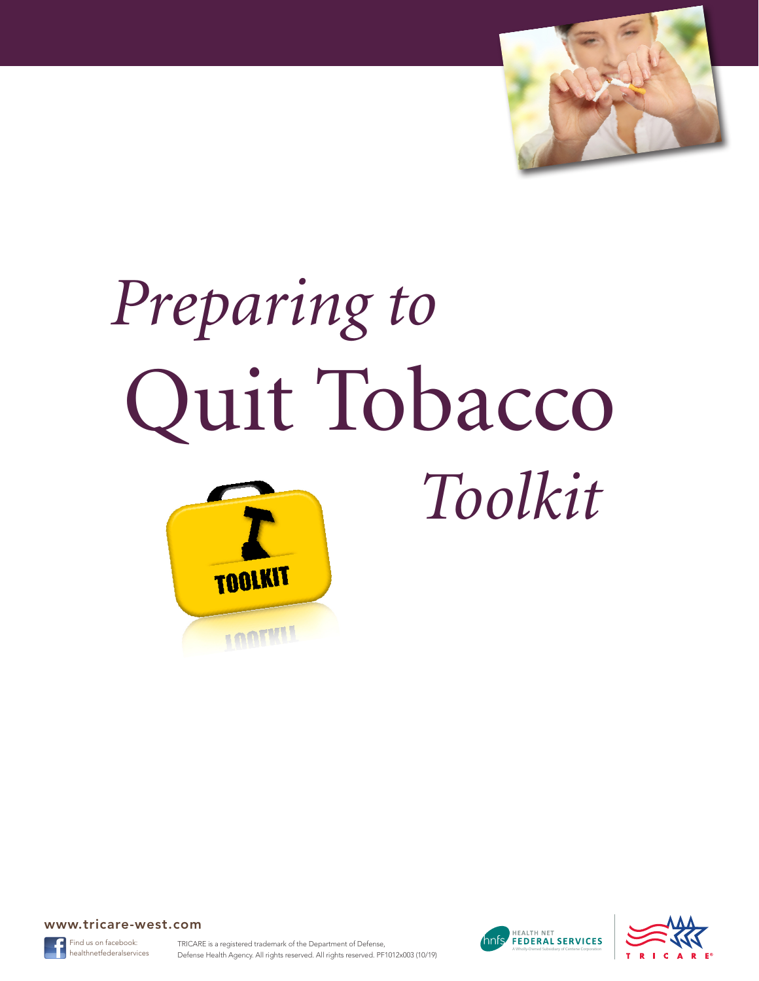

# *Preparing to*  Quit Tobacco







TRICARE is a registered trademark of the Department of Defense, healthnetfederalservices **Defense Health Agency. All rights reserved. All rights reserved.** PF1012x003 (10/19)



 *Toolkit*

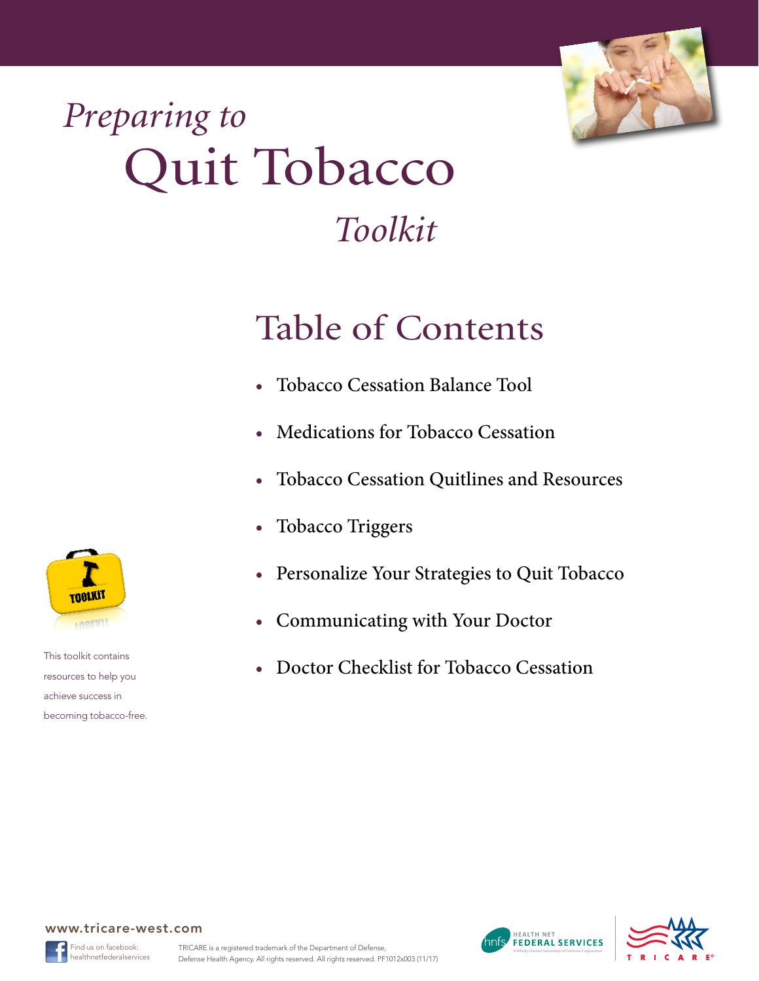

## *Preparing to*  Quit Tobacco

### *Toolkit*

### Table of Contents

- [Tobacco Cessation Balance Tool](#page-2-0)
- [Medications for Tobacco Cessation](#page-3-0)
- [Tobacco Cessation Quitlines and Resources](#page-4-0)
- [Tobacco Triggers](#page-5-0)
- [Personalize Your Strategies to Quit Tobacco](#page-6-0)
- [Communicating with Your Doctor](#page-7-0)
- [Doctor Checklist for Tobacco Cessation](#page-8-0)



This toolkit contains resources to help you achieve success in becoming tobacco-free.







ind us on facebook: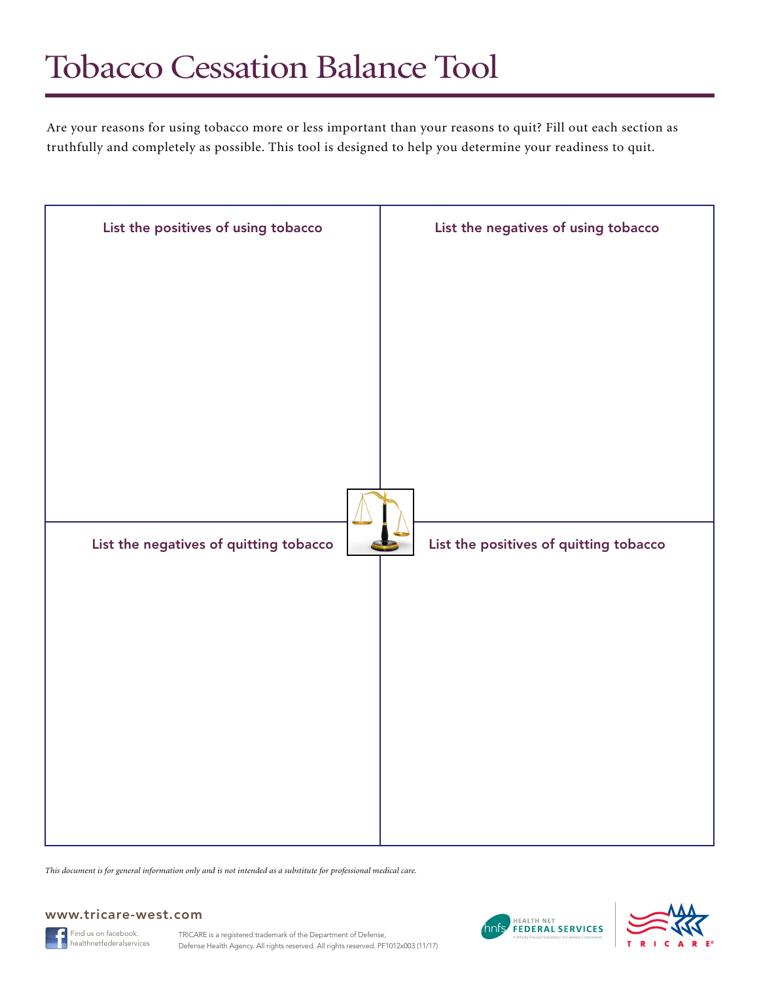### <span id="page-2-0"></span>Tobacco Cessation Balance Tool

Are your reasons for using tobacco more or less important than your reasons to quit? Fill out each section as truthfully and completely as possible. This tool is designed to help you determine your readiness to quit.



*This document is for general information only and is not intended as a substitute for professional medical care.*

#### www.tricare-west.com

Find us on facebook:



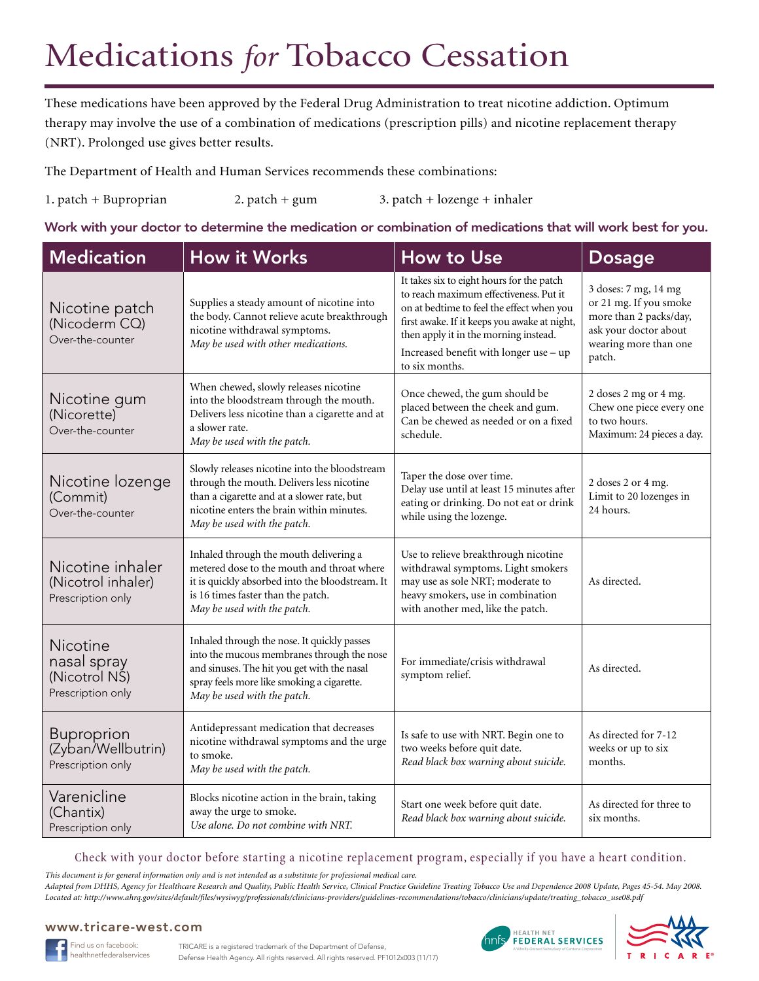### <span id="page-3-0"></span>Medications *for* Tobacco Cessation

These medications have been approved by the Federal Drug Administration to treat nicotine addiction. Optimum therapy may involve the use of a combination of medications (prescription pills) and nicotine replacement therapy (NRT). Prolonged use gives better results.

The Department of Health and Human Services recommends these combinations:

1. patch + Buproprian 2. patch + gum 3. patch + lozenge + inhaler

Work with your doctor to determine the medication or combination of medications that will work best for you.

| <b>Medication</b>                                             | <b>How it Works</b>                                                                                                                                                                                                   | How to Use                                                                                                                                                                                                                                                                            | <b>Dosage</b>                                                                                                                        |
|---------------------------------------------------------------|-----------------------------------------------------------------------------------------------------------------------------------------------------------------------------------------------------------------------|---------------------------------------------------------------------------------------------------------------------------------------------------------------------------------------------------------------------------------------------------------------------------------------|--------------------------------------------------------------------------------------------------------------------------------------|
| Nicotine patch<br>(Nicoderm CQ)<br>Over-the-counter           | Supplies a steady amount of nicotine into<br>the body. Cannot relieve acute breakthrough<br>nicotine withdrawal symptoms.<br>May be used with other medications.                                                      | It takes six to eight hours for the patch<br>to reach maximum effectiveness. Put it<br>on at bedtime to feel the effect when you<br>first awake. If it keeps you awake at night,<br>then apply it in the morning instead.<br>Increased benefit with longer use - up<br>to six months. | 3 doses: 7 mg, 14 mg<br>or 21 mg. If you smoke<br>more than 2 packs/day,<br>ask your doctor about<br>wearing more than one<br>patch. |
| Nicotine gum<br>(Nicorette)<br>Over-the-counter               | When chewed, slowly releases nicotine<br>into the bloodstream through the mouth.<br>Delivers less nicotine than a cigarette and at<br>a slower rate.<br>May be used with the patch.                                   | Once chewed, the gum should be<br>placed between the cheek and gum.<br>Can be chewed as needed or on a fixed<br>schedule.                                                                                                                                                             | 2 doses 2 mg or 4 mg.<br>Chew one piece every one<br>to two hours.<br>Maximum: 24 pieces a day.                                      |
| Nicotine lozenge<br>(Commit)<br>Over-the-counter              | Slowly releases nicotine into the bloodstream<br>through the mouth. Delivers less nicotine<br>than a cigarette and at a slower rate, but<br>nicotine enters the brain within minutes.<br>May be used with the patch.  | Taper the dose over time.<br>Delay use until at least 15 minutes after<br>eating or drinking. Do not eat or drink<br>while using the lozenge.                                                                                                                                         | 2 doses 2 or 4 mg.<br>Limit to 20 lozenges in<br>24 hours.                                                                           |
| Nicotine inhaler<br>(Nicotrol inhaler)<br>Prescription only   | Inhaled through the mouth delivering a<br>metered dose to the mouth and throat where<br>it is quickly absorbed into the bloodstream. It<br>is 16 times faster than the patch.<br>May be used with the patch.          | Use to relieve breakthrough nicotine<br>withdrawal symptoms. Light smokers<br>may use as sole NRT; moderate to<br>heavy smokers, use in combination<br>with another med, like the patch.                                                                                              | As directed.                                                                                                                         |
| Nicotine<br>nasal spray<br>(Nicotrol NŠ)<br>Prescription only | Inhaled through the nose. It quickly passes<br>into the mucous membranes through the nose<br>and sinuses. The hit you get with the nasal<br>spray feels more like smoking a cigarette.<br>May be used with the patch. | For immediate/crisis withdrawal<br>symptom relief.                                                                                                                                                                                                                                    | As directed.                                                                                                                         |
| <b>Buproprion</b><br>(Zyban/Wellbutrin)<br>Prescription only  | Antidepressant medication that decreases<br>nicotine withdrawal symptoms and the urge<br>to smoke.<br>May be used with the patch.                                                                                     | Is safe to use with NRT. Begin one to<br>two weeks before quit date.<br>Read black box warning about suicide.                                                                                                                                                                         | As directed for 7-12<br>weeks or up to six<br>months.                                                                                |
| Varenicline<br>(Chantix)<br>Prescription only                 | Blocks nicotine action in the brain, taking<br>away the urge to smoke.<br>Use alone. Do not combine with NRT.                                                                                                         | Start one week before quit date.<br>Read black box warning about suicide.                                                                                                                                                                                                             | As directed for three to<br>six months.                                                                                              |

Check with your doctor before starting a nicotine replacement program, especially if you have a heart condition.

*This document is for general information only and is not intended as a substitute for professional medical care.*

*Adapted from DHHS, Agency for Healthcare Research and Quality, Public Health Service, Clinical Practice Guideline Treating Tobacco Use and Dependence 2008 Update, Pages 45-54. May 2008. Located at: http://www.ahrq.gov/sites/default/files/wysiwyg/professionals/clinicians-providers/guidelines-recommendations/tobacco/clinicians/update/treating\_tobacco\_use08.pdf*





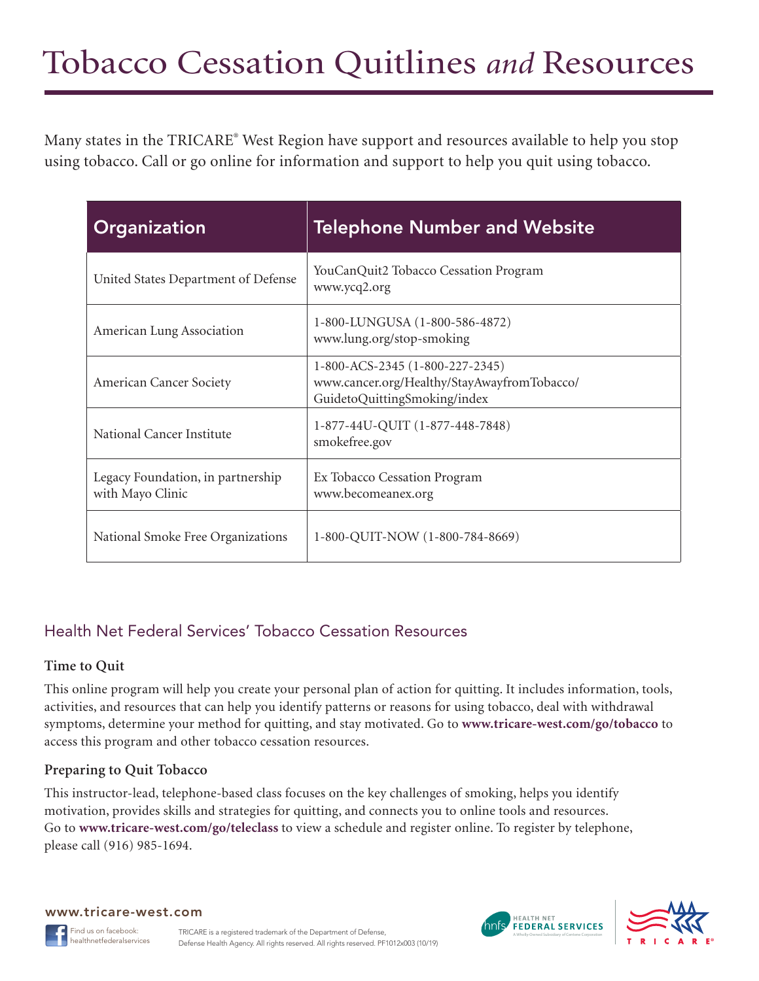<span id="page-4-0"></span>Many states in the TRICARE® West Region have support and resources available to help you stop using tobacco. Call or go online for information and support to help you quit using tobacco.

| Organization                                          | <b>Telephone Number and Website</b>                                                                            |
|-------------------------------------------------------|----------------------------------------------------------------------------------------------------------------|
| United States Department of Defense                   | YouCanQuit2 Tobacco Cessation Program<br>www.ycq2.org                                                          |
| American Lung Association                             | 1-800-LUNGUSA (1-800-586-4872)<br>www.lung.org/stop-smoking                                                    |
| American Cancer Society                               | 1-800-ACS-2345 (1-800-227-2345)<br>www.cancer.org/Healthy/StayAwayfromTobacco/<br>GuidetoQuittingSmoking/index |
| National Cancer Institute                             | 1-877-44U-QUIT (1-877-448-7848)<br>smokefree.gov                                                               |
| Legacy Foundation, in partnership<br>with Mayo Clinic | Ex Tobacco Cessation Program<br>www.becomeanex.org                                                             |
| National Smoke Free Organizations                     | 1-800-QUIT-NOW (1-800-784-8669)                                                                                |

#### Health Net Federal Services' Tobacco Cessation Resources

#### **Time to Quit**

This online program will help you create your personal plan of action for quitting. It includes information, tools, activities, and resources that can help you identify patterns or reasons for using tobacco, deal with withdrawal symptoms, determine your method for quitting, and stay motivated. Go to **www.tricare-west.com/go/tobacco** to access this program and other tobacco cessation resources.

#### **Preparing to Quit Tobacco**

This instructor-lead, telephone-based class focuses on the key challenges of smoking, helps you identify motivation, provides skills and strategies for quitting, and connects you to online tools and resources. Go to **www.tricare-west.com/go/teleclass** to view a schedule and register online. To register by telephone, please call (916) 985-1694.





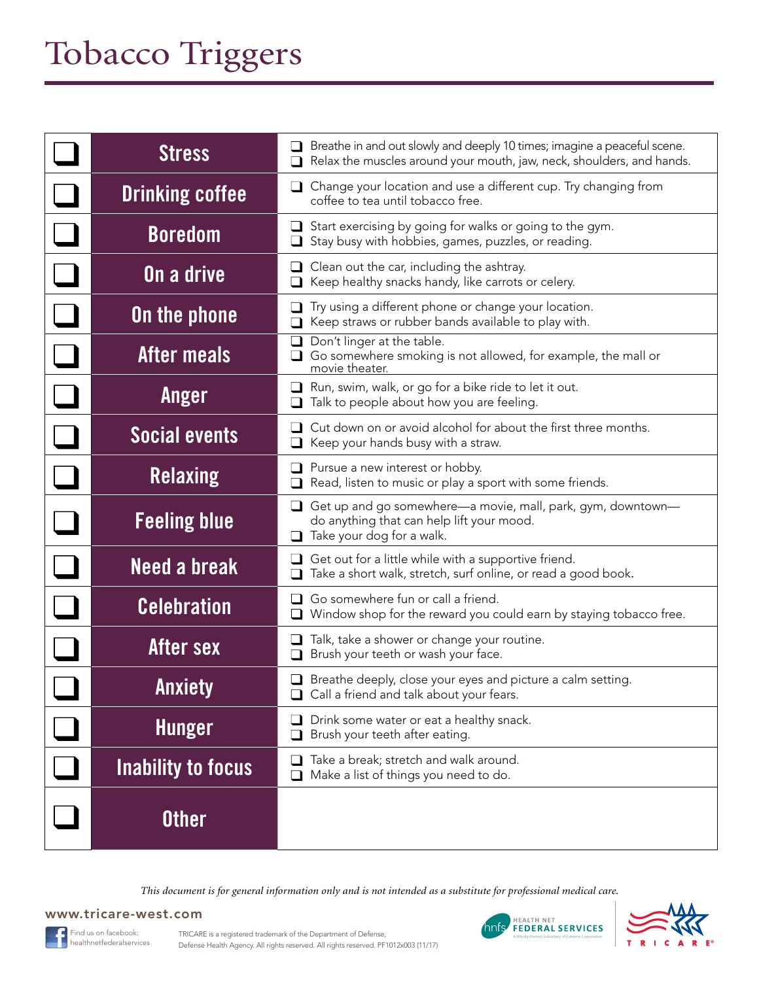### <span id="page-5-0"></span>Tobacco Triggers

| <b>Stress</b>          | Breathe in and out slowly and deeply 10 times; imagine a peaceful scene.<br>Relax the muscles around your mouth, jaw, neck, shoulders, and hands. |
|------------------------|---------------------------------------------------------------------------------------------------------------------------------------------------|
| <b>Drinking coffee</b> | $\Box$ Change your location and use a different cup. Try changing from<br>coffee to tea until tobacco free.                                       |
| <b>Boredom</b>         | Start exercising by going for walks or going to the gym.<br>┙<br>Stay busy with hobbies, games, puzzles, or reading.                              |
| On a drive             | Clean out the car, including the ashtray.<br>Keep healthy snacks handy, like carrots or celery.                                                   |
| <b>On the phone</b>    | Try using a different phone or change your location.<br>Keep straws or rubber bands available to play with.                                       |
| After meals            | Don't linger at the table.<br>Go somewhere smoking is not allowed, for example, the mall or<br>movie theater.                                     |
| Anger                  | Run, swim, walk, or go for a bike ride to let it out.<br>u.<br>Talk to people about how you are feeling.                                          |
| <b>Social events</b>   | Cut down on or avoid alcohol for about the first three months.<br>Keep your hands busy with a straw.<br>⊔                                         |
| <b>Relaxing</b>        | $\Box$ Pursue a new interest or hobby.<br>Read, listen to music or play a sport with some friends.                                                |
| <b>Feeling blue</b>    | Get up and go somewhere—a movie, mall, park, gym, downtown—<br>ப<br>do anything that can help lift your mood.<br>Take your dog for a walk.        |
| <b>Need a break</b>    | Get out for a little while with a supportive friend.<br>Take a short walk, stretch, surf online, or read a good book.                             |
| <b>Celebration</b>     | Go somewhere fun or call a friend.<br>Window shop for the reward you could earn by staying tobacco free.                                          |
| After sex              | Talk, take a shower or change your routine.<br>ப<br>Brush your teeth or wash your face.                                                           |
| <b>Anxiety</b>         | $\Box$ Breathe deeply, close your eyes and picture a calm setting.<br>$\Box$ Call a friend and talk about your fears.                             |
| <b>Hunger</b>          | Drink some water or eat a healthy snack.<br>ப<br>Brush your teeth after eating.                                                                   |
| Inability to focus     | Take a break; stretch and walk around.<br>Make a list of things you need to do.                                                                   |
| <b>Other</b>           |                                                                                                                                                   |

*This document is for general information only and is not intended as a substitute for professional medical care.*





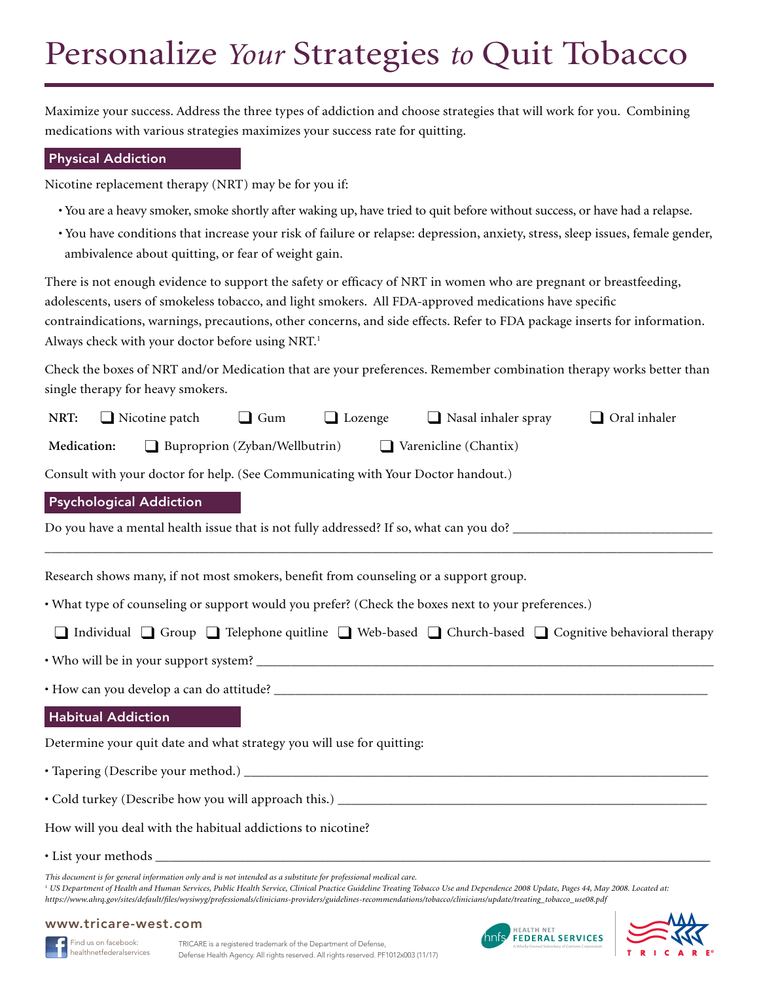### <span id="page-6-0"></span>Personalize *Your* Strategies *to* Quit Tobacco

Maximize your success. Address the three types of addiction and choose strategies that will work for you. Combining medications with various strategies maximizes your success rate for quitting.

#### Physical Addiction

Nicotine replacement therapy (NRT) may be for you if:

- You are a heavy smoker, smoke shortly after waking up, have tried to quit before without success, or have had a relapse.
- You have conditions that increase your risk of failure or relapse: depression, anxiety, stress, sleep issues, female gender, ambivalence about quitting, or fear of weight gain.

There is not enough evidence to support the safety or efficacy of NRT in women who are pregnant or breastfeeding, adolescents, users of smokeless tobacco, and light smokers. All FDA-approved medications have specific contraindications, warnings, precautions, other concerns, and side effects. Refer to FDA package inserts for information. Always check with your doctor before using NRT.<sup>1</sup>

Check the boxes of NRT and/or Medication that are your preferences. Remember combination therapy works better than single therapy for heavy smokers.

| NRT:                                                                  | $\Box$ Nicotine patch                                                                                                             | $\Box$ Gum | $\Box$ Lozenge | $\Box$ Nasal inhaler spray                                                                         | Oral inhaler |
|-----------------------------------------------------------------------|-----------------------------------------------------------------------------------------------------------------------------------|------------|----------------|----------------------------------------------------------------------------------------------------|--------------|
| Medication:                                                           | $\Box$ Buproprion (Zyban/Wellbutrin)                                                                                              |            |                | $\Box$ Varenicline (Chantix)                                                                       |              |
|                                                                       | Consult with your doctor for help. (See Communicating with Your Doctor handout.)                                                  |            |                |                                                                                                    |              |
|                                                                       | <b>Psychological Addiction</b>                                                                                                    |            |                |                                                                                                    |              |
|                                                                       |                                                                                                                                   |            |                |                                                                                                    |              |
|                                                                       | Research shows many, if not most smokers, benefit from counseling or a support group.                                             |            |                |                                                                                                    |              |
|                                                                       |                                                                                                                                   |            |                | • What type of counseling or support would you prefer? (Check the boxes next to your preferences.) |              |
|                                                                       | $\Box$ Individual $\Box$ Group $\Box$ Telephone quitline $\Box$ Web-based $\Box$ Church-based $\Box$ Cognitive behavioral therapy |            |                |                                                                                                    |              |
|                                                                       |                                                                                                                                   |            |                |                                                                                                    |              |
|                                                                       |                                                                                                                                   |            |                |                                                                                                    |              |
| <b>Habitual Addiction</b>                                             |                                                                                                                                   |            |                |                                                                                                    |              |
| Determine your quit date and what strategy you will use for quitting: |                                                                                                                                   |            |                |                                                                                                    |              |
|                                                                       |                                                                                                                                   |            |                |                                                                                                    |              |
|                                                                       |                                                                                                                                   |            |                |                                                                                                    |              |
| How will you deal with the habitual addictions to nicotine?           |                                                                                                                                   |            |                |                                                                                                    |              |
|                                                                       |                                                                                                                                   |            |                |                                                                                                    |              |

• List your methods

*This document is for general information only and is not intended as a substitute for professional medical care.*

<sup>1</sup> US Department of Health and Human Services, Public Health Service, Clinical Practice Guideline Treating Tobacco Use and Dependence 2008 Update, Pages 44, May 2008. Located at: *https://www.ahrq.gov/sites/default/files/wysiwyg/professionals/clinicians-providers/guidelines-recommendations/tobacco/clinicians/update/treating\_tobacco\_use08.pdf*





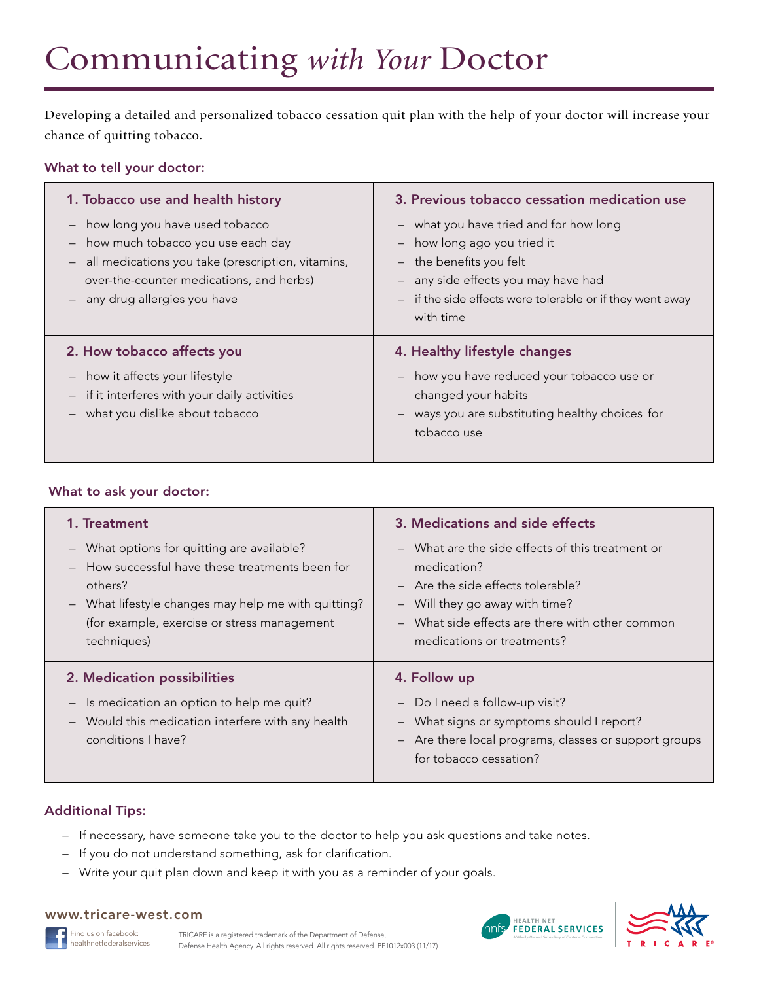### <span id="page-7-0"></span>Communicating *with Your* Doctor

Developing a detailed and personalized tobacco cessation quit plan with the help of your doctor will increase your chance of quitting tobacco.

#### What to tell your doctor:

| 1. Tobacco use and health history                                                                                                                                                                       | 3. Previous tobacco cessation medication use                                                                                                                                                                        |  |
|---------------------------------------------------------------------------------------------------------------------------------------------------------------------------------------------------------|---------------------------------------------------------------------------------------------------------------------------------------------------------------------------------------------------------------------|--|
| - how long you have used tobacco<br>how much tobacco you use each day<br>all medications you take (prescription, vitamins,<br>over-the-counter medications, and herbs)<br>- any drug allergies you have | - what you have tried and for how long<br>- how long ago you tried it<br>$-$ the benefits you felt<br>- any side effects you may have had<br>- if the side effects were tolerable or if they went away<br>with time |  |
|                                                                                                                                                                                                         |                                                                                                                                                                                                                     |  |
| 2. How tobacco affects you                                                                                                                                                                              | 4. Healthy lifestyle changes                                                                                                                                                                                        |  |

#### What to ask your doctor:

| 1. Treatment<br>What options for quitting are available?<br>$ \,$<br>How successful have these treatments been for<br>others?<br>What lifestyle changes may help me with quitting?<br>$\overline{\phantom{m}}$<br>(for example, exercise or stress management<br>techniques) | 3. Medications and side effects<br>- What are the side effects of this treatment or<br>medication?<br>$-$ Are the side effects tolerable?<br>Will they go away with time?<br>What side effects are there with other common<br>medications or treatments? |
|------------------------------------------------------------------------------------------------------------------------------------------------------------------------------------------------------------------------------------------------------------------------------|----------------------------------------------------------------------------------------------------------------------------------------------------------------------------------------------------------------------------------------------------------|
| 2. Medication possibilities<br>Is medication an option to help me quit?<br>$\overline{\phantom{m}}$<br>Would this medication interfere with any health<br>$-$<br>conditions I have?                                                                                          | 4. Follow up<br>Do I need a follow-up visit?<br>What signs or symptoms should I report?<br>- Are there local programs, classes or support groups<br>for tobacco cessation?                                                                               |

#### Additional Tips:

- If necessary, have someone take you to the doctor to help you ask questions and take notes.
- If you do not understand something, ask for clarification.
- Write your quit plan down and keep it with you as a reminder of your goals.